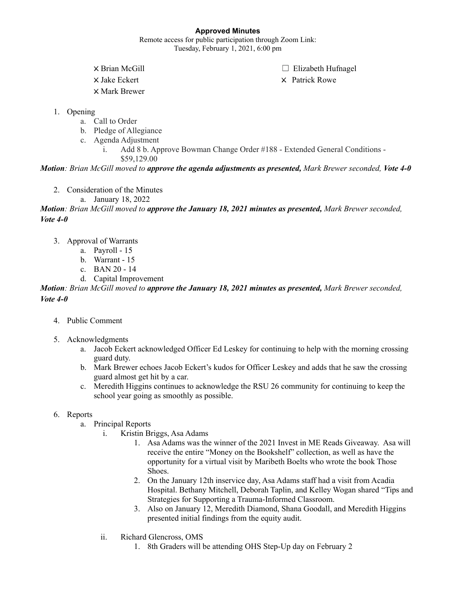# **Approved Minutes**

Remote access for public participation through Zoom Link: Tuesday, February 1, 2021, 6:00 pm

X Mark Brewer

× Brian McGill ◯ Elizabeth Hufnagel

X Jake Eckert X Patrick Rowe

- 1. Opening
	- a. Call to Order
	- b. Pledge of Allegiance
	- c. Agenda Adjustment
		- i. Add 8 b. Approve Bowman Change Order #188 Extended General Conditions
			- \$59,129.00

*Motion: Brian McGill moved to approve the agenda adjustments as presented, Mark Brewer seconded, Vote 4-0*

- 2. Consideration of the Minutes
	- a. January 18, 2022

*Motion: Brian McGill moved to approve the January 18, 2021 minutes as presented, Mark Brewer seconded, Vote 4-0*

- 3. Approval of Warrants
	- a. Payroll 15
	- b. Warrant 15
	- c. BAN 20 14
	- d. Capital Improvement

*Motion: Brian McGill moved to approve the January 18, 2021 minutes as presented, Mark Brewer seconded, Vote 4-0*

- 4. Public Comment
- 5. Acknowledgments
	- a. Jacob Eckert acknowledged Officer Ed Leskey for continuing to help with the morning crossing guard duty.
	- b. Mark Brewer echoes Jacob Eckert's kudos for Officer Leskey and adds that he saw the crossing guard almost get hit by a car.
	- c. Meredith Higgins continues to acknowledge the RSU 26 community for continuing to keep the school year going as smoothly as possible.

# 6. Reports

- a. Principal Reports
	- i. Kristin Briggs, Asa Adams
		- 1. Asa Adams was the winner of the 2021 Invest in ME Reads Giveaway. Asa will receive the entire "Money on the Bookshelf" collection, as well as have the opportunity for a virtual visit by Maribeth Boelts who wrote the book Those Shoes.
		- 2. On the January 12th inservice day, Asa Adams staff had a visit from Acadia Hospital. Bethany Mitchell, Deborah Taplin, and Kelley Wogan shared "Tips and Strategies for Supporting a Trauma-Informed Classroom.
		- 3. Also on January 12, Meredith Diamond, Shana Goodall, and Meredith Higgins presented initial findings from the equity audit.
	- ii. Richard Glencross, OMS
		- 1. 8th Graders will be attending OHS Step-Up day on February 2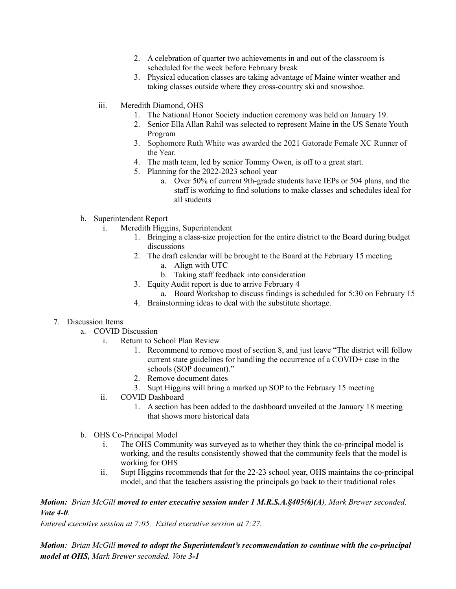- 2. A celebration of quarter two achievements in and out of the classroom is scheduled for the week before February break
- 3. Physical education classes are taking advantage of Maine winter weather and taking classes outside where they cross-country ski and snowshoe.
- iii. Meredith Diamond, OHS
	- 1. The National Honor Society induction ceremony was held on January 19.
	- 2. Senior Ella Allan Rahil was selected to represent Maine in the US Senate Youth Program
	- 3. Sophomore Ruth White was awarded the 2021 Gatorade Female XC Runner of the Year.
	- 4. The math team, led by senior Tommy Owen, is off to a great start.
	- 5. Planning for the 2022-2023 school year
		- a. Over 50% of current 9th-grade students have IEPs or 504 plans, and the staff is working to find solutions to make classes and schedules ideal for all students

### b. Superintendent Report

- i. Meredith Higgins, Superintendent
	- 1. Bringing a class-size projection for the entire district to the Board during budget discussions
	- 2. The draft calendar will be brought to the Board at the February 15 meeting
		- a. Align with UTC
		- b. Taking staff feedback into consideration
	- 3. Equity Audit report is due to arrive February 4
		- a. Board Workshop to discuss findings is scheduled for 5:30 on February 15
	- 4. Brainstorming ideas to deal with the substitute shortage.

# 7. Discussion Items

- a. COVID Discussion
	- i. Return to School Plan Review
		- 1. Recommend to remove most of section 8, and just leave "The district will follow current state guidelines for handling the occurrence of a COVID+ case in the schools (SOP document)."
		- 2. Remove document dates
		- 3. Supt Higgins will bring a marked up SOP to the February 15 meeting
	- ii. COVID Dashboard
		- 1. A section has been added to the dashboard unveiled at the January 18 meeting that shows more historical data
- b. OHS Co-Principal Model
	- i. The OHS Community was surveyed as to whether they think the co-principal model is working, and the results consistently showed that the community feels that the model is working for OHS
	- ii. Supt Higgins recommends that for the 22-23 school year, OHS maintains the co-principal model, and that the teachers assisting the principals go back to their traditional roles

### *Motion: Brian McGill moved to enter executive session under 1 M.R.S.A.§405(6)(A), Mark Brewer seconded. Vote 4-0.*

*Entered executive session at 7:05. Exited executive session at 7:27.*

*Motion: Brian McGill moved to adopt the Superintendent's recommendation to continue with the co-principal model at OHS, Mark Brewer seconded. Vote 3-1*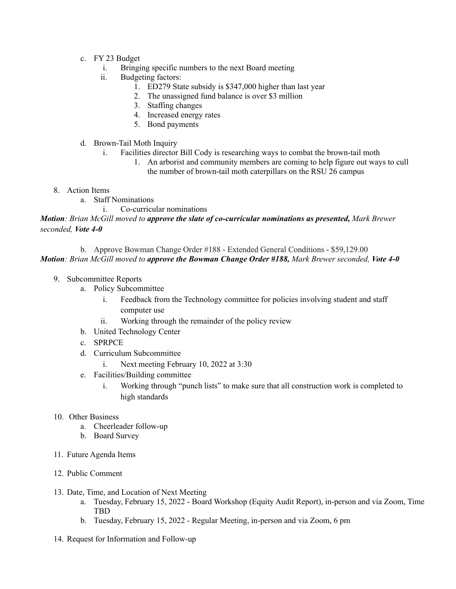- c. FY 23 Budget
	- i. Bringing specific numbers to the next Board meeting
	- ii. Budgeting factors:
		- 1. ED279 State subsidy is \$347,000 higher than last year
		- 2. The unassigned fund balance is over \$3 million
		- 3. Staffing changes
		- 4. Increased energy rates
		- 5. Bond payments
- d. Brown-Tail Moth Inquiry
	- i. Facilities director Bill Cody is researching ways to combat the brown-tail moth
		- 1. An arborist and community members are coming to help figure out ways to cull the number of brown-tail moth caterpillars on the RSU 26 campus
- 8. Action Items
	- a. Staff Nominations
		- i. Co-curricular nominations

*Motion: Brian McGill moved to approve the slate of co-curricular nominations as presented, Mark Brewer seconded, Vote 4-0*

b. Approve Bowman Change Order #188 - Extended General Conditions - \$59,129.00 *Motion: Brian McGill moved to approve the Bowman Change Order #188, Mark Brewer seconded, Vote 4-0*

- 9. Subcommittee Reports
	- a. Policy Subcommittee
		- i. Feedback from the Technology committee for policies involving student and staff computer use
		- ii. Working through the remainder of the policy review
	- b. United Technology Center
	- c. SPRPCE
	- d. Curriculum Subcommittee
		- i. Next meeting February 10, 2022 at 3:30
	- e. Facilities/Building committee
		- i. Working through "punch lists" to make sure that all construction work is completed to high standards
- 10. Other Business
	- a. Cheerleader follow-up
	- b. Board Survey
- 11. Future Agenda Items
- 12. Public Comment
- 13. Date, Time, and Location of Next Meeting
	- a. Tuesday, February 15, 2022 Board Workshop (Equity Audit Report), in-person and via Zoom, Time TBD
	- b. Tuesday, February 15, 2022 Regular Meeting, in-person and via Zoom, 6 pm
- 14. Request for Information and Follow-up